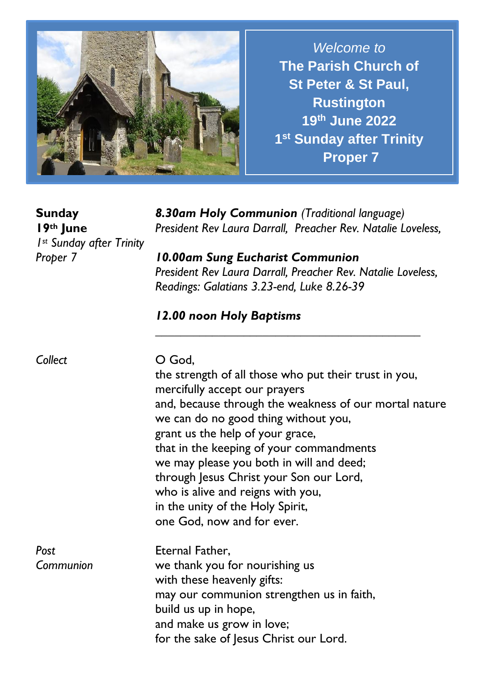

*Welcome to* **The Parish Church of St Peter & St Paul, Rustington 19 th June 2022 1 st Sunday after Trinity Proper 7**

**Sunday 19th June** *1st Sunday after Trinity Proper 7*

*8.30am Holy Communion (Traditional language) President Rev Laura Darrall, Preacher Rev. Natalie Loveless,* 

*10.00am Sung Eucharist Communion President Rev Laura Darrall, Preacher Rev. Natalie Loveless, Readings: Galatians 3.23-end, Luke 8.26-39*

*\_\_\_\_\_\_\_\_\_\_\_\_\_\_\_\_\_\_\_\_\_\_\_\_\_\_\_\_\_\_\_\_\_\_\_\_\_\_\_\_\_\_*

## *12.00 noon Holy Baptisms*

| Collect           | O God.<br>the strength of all those who put their trust in you,<br>mercifully accept our prayers<br>and, because through the weakness of our mortal nature<br>we can do no good thing without you,<br>grant us the help of your grace,<br>that in the keeping of your commandments<br>we may please you both in will and deed;<br>through Jesus Christ your Son our Lord,<br>who is alive and reigns with you,<br>in the unity of the Holy Spirit,<br>one God, now and for ever. |
|-------------------|----------------------------------------------------------------------------------------------------------------------------------------------------------------------------------------------------------------------------------------------------------------------------------------------------------------------------------------------------------------------------------------------------------------------------------------------------------------------------------|
| Post<br>Communion | Eternal Father,<br>we thank you for nourishing us<br>with these heavenly gifts:<br>may our communion strengthen us in faith,<br>build us up in hope,<br>and make us grow in love;<br>for the sake of Jesus Christ our Lord.                                                                                                                                                                                                                                                      |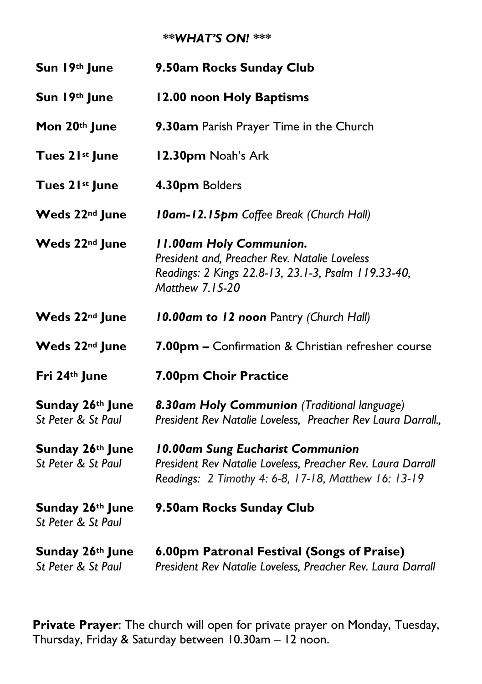## *\*\*WHAT'S ON! \*\*\**

| Sun 19th June                          | 9.50am Rocks Sunday Club                                                                                                                                  |
|----------------------------------------|-----------------------------------------------------------------------------------------------------------------------------------------------------------|
| Sun 19th June                          | 12.00 noon Holy Baptisms                                                                                                                                  |
| Mon 20th June                          | 9.30am Parish Prayer Time in the Church                                                                                                                   |
| Tues 21st June                         | 12.30pm Noah's Ark                                                                                                                                        |
| Tues 21st June                         | 4.30pm Bolders                                                                                                                                            |
| Weds 22 <sup>nd</sup> June             | <b>10am-12.15pm</b> Coffee Break (Church Hall)                                                                                                            |
| Weds 22 <sup>nd</sup> June             | <b>II.00am Holy Communion.</b><br>President and, Preacher Rev. Natalie Loveless<br>Readings: 2 Kings 22.8-13, 23.1-3, Psalm 119.33-40,<br>Matthew 7.15-20 |
| Weds 22 <sup>nd</sup> June             | 10.00am to 12 noon Pantry (Church Hall)                                                                                                                   |
| Weds 22 <sup>nd</sup> June             | 7.00pm - Confirmation & Christian refresher course                                                                                                        |
| Fri 24th June                          | 7.00pm Choir Practice                                                                                                                                     |
| Sunday 26th June<br>St Peter & St Paul | 8.30am Holy Communion (Traditional language)<br>President Rev Natalie Loveless, Preacher Rev Laura Darrall.,                                              |
| Sunday 26th June<br>St Peter & St Paul | 10.00am Sung Eucharist Communion<br>President Rev Natalie Loveless, Preacher Rev. Laura Darrall<br>Readings: 2 Timothy 4: 6-8, 17-18, Matthew 16: 13-19   |
| Sunday 26th June<br>St Peter & St Paul | 9.50am Rocks Sunday Club                                                                                                                                  |
| Sunday 26th June<br>St Peter & St Paul | 6.00pm Patronal Festival (Songs of Praise)<br>President Rev Natalie Loveless, Preacher Rev. Laura Darrall                                                 |

**Private Prayer**: The church will open for private prayer on Monday, Tuesday, Thursday, Friday & Saturday between 10.30am – 12 noon.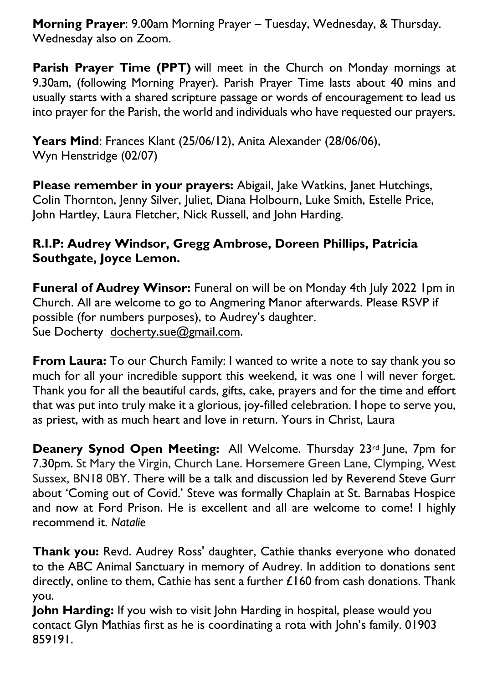**Morning Prayer**: 9.00am Morning Prayer – Tuesday, Wednesday, & Thursday. Wednesday also on Zoom.

Parish Prayer Time (PPT) will meet in the Church on Monday mornings at 9.30am, (following Morning Prayer). Parish Prayer Time lasts about 40 mins and usually starts with a shared scripture passage or words of encouragement to lead us into prayer for the Parish, the world and individuals who have requested our prayers.

**Years Mind**: Frances Klant (25/06/12), Anita Alexander (28/06/06), Wyn Henstridge (02/07)

**Please remember in your prayers:** Abigail, Jake Watkins, Janet Hutchings, Colin Thornton, Jenny Silver, Juliet, Diana Holbourn, Luke Smith, Estelle Price, John Hartley, Laura Fletcher, Nick Russell, and John Harding.

## **R.I.P: Audrey Windsor, Gregg Ambrose, Doreen Phillips, Patricia Southgate, Joyce Lemon.**

**Funeral of Audrey Winsor:** Funeral on will be on Monday 4th July 2022 1pm in Church. All are welcome to go to Angmering Manor afterwards. Please RSVP if possible (for numbers purposes), to Audrey's daughter. Sue Docherty [docherty.sue@gmail.com.](mailto:docherty.sue@gmail.com)

**From Laura:** To our Church Family: I wanted to write a note to say thank you so much for all your incredible support this weekend, it was one I will never forget. Thank you for all the beautiful cards, gifts, cake, prayers and for the time and effort that was put into truly make it a glorious, joy-filled celebration. I hope to serve you, as priest, with as much heart and love in return. Yours in Christ, Laura

**Deanery Synod Open Meeting:** All Welcome. Thursday 23rd June, 7pm for 7.30pm. St Mary the Virgin, Church Lane. Horsemere Green Lane, Clymping, West Sussex, BN18 0BY. There will be a talk and discussion led by Reverend Steve Gurr about 'Coming out of Covid.' Steve was formally Chaplain at St. Barnabas Hospice and now at Ford Prison. He is excellent and all are welcome to come! I highly recommend it. *Natalie*

**Thank you:** Revd. Audrey Ross' daughter, Cathie thanks everyone who donated to the ABC Animal Sanctuary in memory of Audrey. In addition to donations sent directly, online to them, Cathie has sent a further  $£160$  from cash donations. Thank you.

**John Harding:** If you wish to visit John Harding in hospital, please would you contact Glyn Mathias first as he is coordinating a rota with John's family. 01903 859191.